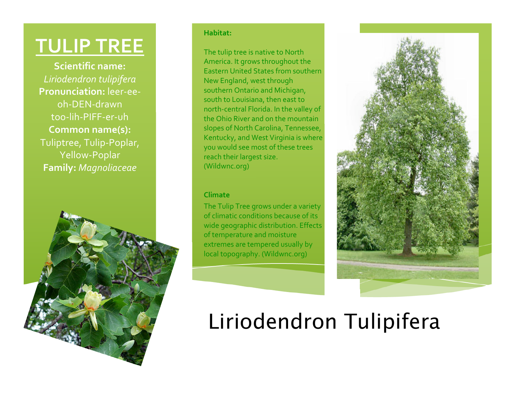## **TULIP
TREE**

**Scientific
name:** *Liriodendron
tulipifera* **Pronunciation:** leer‐ee‐ oh‐DEN‐drawn too‐lih‐PIFF‐er‐uh **Common
name(s):** Tuliptree, Tulip-Poplar, Yellow‐Poplar **Family:** *Magnoliaceae*



### **Habitat:**

The
tulip
tree
is
native
to
North America.
It
grows
throughout
the Eastern
United
States
from
southern New
England,
west
through southern
Ontario
and
Michigan, south
to
Louisiana,
then
east
to north‐central
Florida.
In
the
valley
of the
Ohio
River
and
on
the
mountain slopes
of
North
Carolina,
Tennessee, Kentucky,
and
West
Virginia
is
where you
would
see
most
of
these
trees reach
their
largest
size. (Wildwnc.org)

#### **Climate**

The
Tulip
Tree
grows
under
a
variety of
climatic
conditions
because
of
its wide
geographic
distribution.
Effects of
temperature
and
moisture extremes
are
tempered
usually
by local
topography.
(Wildwnc.org)



# Liriodendron Tulipifera